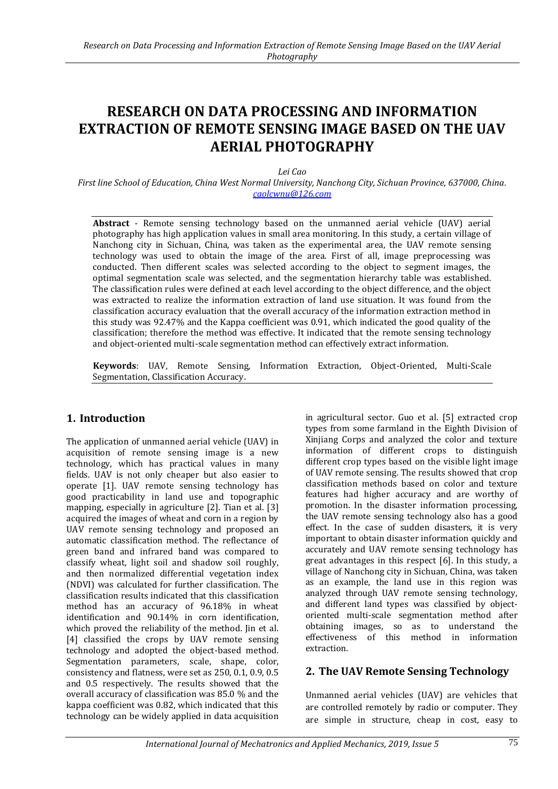# **RESEARCH ON DATA PROCESSING AND INFORMATION EXTRACTION OF REMOTE SENSING IMAGE BASED ON THE UAV AERIAL PHOTOGRAPHY**

*Lei Cao*

*First line School of Education, China West Normal University, Nanchong City, Sichuan Province, 637000, China. caolcwnu@126.com*

**Abstract** - Remote sensing technology based on the unmanned aerial vehicle (UAV) aerial photography has high application values in small area monitoring. In this study, a certain village of Nanchong city in Sichuan, China, was taken as the experimental area, the UAV remote sensing technology was used to obtain the image of the area. First of all, image preprocessing was conducted. Then different scales was selected according to the object to segment images, the optimal segmentation scale was selected, and the segmentation hierarchy table was established. The classification rules were defined at each level according to the object difference, and the object was extracted to realize the information extraction of land use situation. It was found from the classification accuracy evaluation that the overall accuracy of the information extraction method in this study was 92.47% and the Kappa coefficient was 0.91, which indicated the good quality of the classification; therefore the method was effective. It indicated that the remote sensing technology and object-oriented multi-scale segmentation method can effectively extract information.

**Keywords**: UAV, Remote Sensing, Information Extraction, Object-Oriented, Multi-Scale Segmentation, Classification Accuracy.

# **1. Introduction**

The application of unmanned aerial vehicle (UAV) in acquisition of remote sensing image is a new technology, which has practical values in many fields. UAV is not only cheaper but also easier to operate [1]. UAV remote sensing technology has good practicability in land use and topographic mapping, especially in agriculture [2]. Tian et al. [3] acquired the images of wheat and corn in a region by UAV remote sensing technology and proposed an automatic classification method. The reflectance of green band and infrared band was compared to classify wheat, light soil and shadow soil roughly, and then normalized differential vegetation index (NDVI) was calculated for further classification. The classification results indicated that this classification method has an accuracy of 96.18% in wheat identification and 90.14% in corn identification, which proved the reliability of the method. Jin et al. [4] classified the crops by UAV remote sensing technology and adopted the object-based method. Segmentation parameters, scale, shape, color, consistency and flatness, were set as 250, 0.1, 0.9, 0.5 and 0.5 respectively. The results showed that the overall accuracy of classification was 85.0 % and the kappa coefficient was 0.82, which indicated that this technology can be widely applied in data acquisition

in agricultural sector. Guo et al. [5] extracted crop types from some farmland in the Eighth Division of Xinjiang Corps and analyzed the color and texture information of different crops to distinguish different crop types based on the visible light image of UAV remote sensing. The results showed that crop classification methods based on color and texture features had higher accuracy and are worthy of promotion. In the disaster information processing, the UAV remote sensing technology also has a good effect. In the case of sudden disasters, it is very important to obtain disaster information quickly and accurately and UAV remote sensing technology has great advantages in this respect [6]. In this study, a village of Nanchong city in Sichuan, China, was taken as an example, the land use in this region was analyzed through UAV remote sensing technology, and different land types was classified by objectoriented multi-scale segmentation method after obtaining images, so as to understand the effectiveness of this method in information extraction.

# **2. The UAV Remote Sensing Technology**

Unmanned aerial vehicles (UAV) are vehicles that are controlled remotely by radio or computer. They are simple in structure, cheap in cost, easy to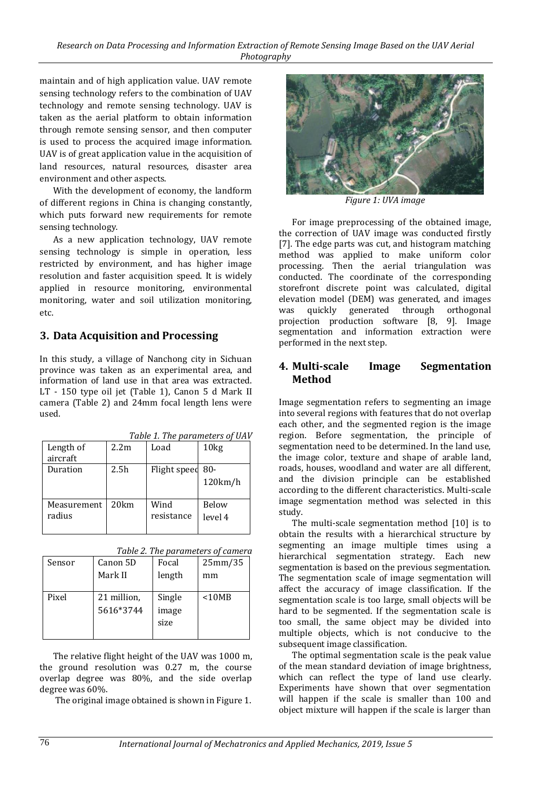maintain and of high application value. UAV remote sensing technology refers to the combination of UAV technology and remote sensing technology. UAV is taken as the aerial platform to obtain information through remote sensing sensor, and then computer is used to process the acquired image information. UAV is of great application value in the acquisition of land resources, natural resources, disaster area environment and other aspects.

With the development of economy, the landform of different regions in China is changing constantly, which puts forward new requirements for remote sensing technology.

As a new application technology, UAV remote sensing technology is simple in operation, less restricted by environment, and has higher image resolution and faster acquisition speed. It is widely applied in resource monitoring, environmental monitoring, water and soil utilization monitoring, etc.

### **3. Data Acquisition and Processing**

In this study, a village of Nanchong city in Sichuan province was taken as an experimental area, and information of land use in that area was extracted. LT - 150 type oil jet (Table 1), Canon 5 d Mark Ⅱ camera (Table 2) and 24mm focal length lens were used.

| Length of   | 2.2 <sub>m</sub> | Load         | 10 <sub>kg</sub> |  |  |
|-------------|------------------|--------------|------------------|--|--|
| aircraft    |                  |              |                  |  |  |
| Duration    | 2.5 <sub>h</sub> | Flight speed | $80 -$           |  |  |
|             |                  |              | 120km/h          |  |  |
|             |                  |              |                  |  |  |
| Measurement | 20km             | Wind         | Below            |  |  |
| radius      |                  | resistance   | level 4          |  |  |
|             |                  |              |                  |  |  |

*Table 1. The parameters of UAV*

*Table 2. The parameters of camera*

| Sensor | Canon 5D    | Focal  | 25mm/35  |
|--------|-------------|--------|----------|
|        | Mark II     | length | mm       |
|        |             |        |          |
| Pixel  | 21 million, | Single | $<$ 10MB |
|        | 5616*3744   | image  |          |
|        |             | size   |          |
|        |             |        |          |

The relative flight height of the UAV was 1000 m, the ground resolution was 0.27 m, the course overlap degree was 80%, and the side overlap degree was 60%.

The original image obtained is shown in Figure 1.



*Figure 1: UVA image*

For image preprocessing of the obtained image, the correction of UAV image was conducted firstly [7]. The edge parts was cut, and histogram matching method was applied to make uniform color processing. Then the aerial triangulation was conducted. The coordinate of the corresponding storefront discrete point was calculated, digital elevation model (DEM) was generated, and images was quickly generated through orthogonal projection production software [8, 9]. Image segmentation and information extraction were performed in the next step.

### **4. Multi-scale Image Segmentation Method**

Image segmentation refers to segmenting an image into several regions with features that do not overlap each other, and the segmented region is the image region. Before segmentation, the principle of segmentation need to be determined. In the land use, the image color, texture and shape of arable land, roads, houses, woodland and water are all different, and the division principle can be established according to the different characteristics. Multi-scale image segmentation method was selected in this study.

The multi-scale segmentation method [10] is to obtain the results with a hierarchical structure by segmenting an image multiple times using a hierarchical segmentation strategy. Each new segmentation is based on the previous segmentation. The segmentation scale of image segmentation will affect the accuracy of image classification. If the segmentation scale is too large, small objects will be hard to be segmented. If the segmentation scale is too small, the same object may be divided into multiple objects, which is not conducive to the subsequent image classification.

The optimal segmentation scale is the peak value of the mean standard deviation of image brightness, which can reflect the type of land use clearly. Experiments have shown that over segmentation will happen if the scale is smaller than 100 and object mixture will happen if the scale is larger than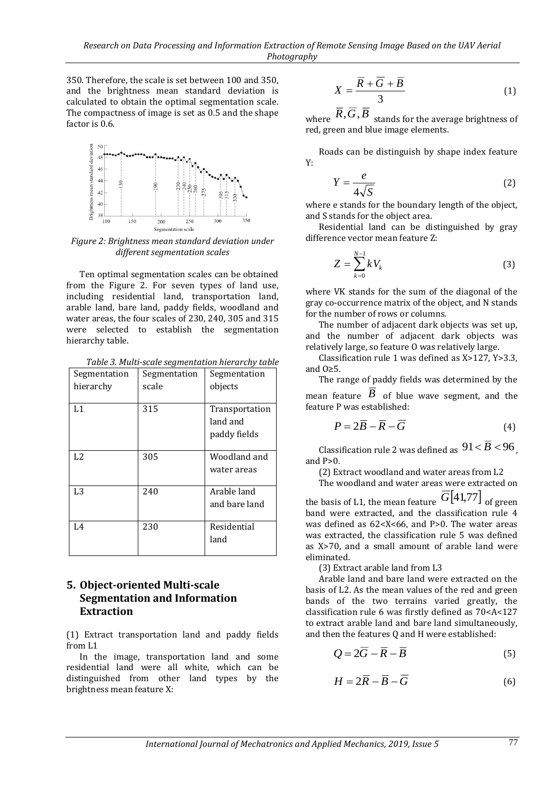350. Therefore, the scale is set between 100 and 350, and the brightness mean standard deviation is calculated to obtain the optimal segmentation scale. The compactness of image is set as 0.5 and the shape factor is 0.6.



*Figure 2: Brightness mean standard deviation under different segmentation scales*

Ten optimal segmentation scales can be obtained from the Figure 2. For seven types of land use, including residential land, transportation land, arable land, bare land, paddy fields, woodland and water areas, the four scales of 230, 240, 305 and 315 were selected to establish the segmentation hierarchy table.

*Table 3. Multi-scale segmentation hierarchy table*

| Segmentation<br>hierarchy | Segmentation<br>scale | Segmentation<br>objects                    |
|---------------------------|-----------------------|--------------------------------------------|
| L1                        | 315                   | Transportation<br>land and<br>paddy fields |
| L <sub>2</sub>            | 305                   | Woodland and<br>water areas                |
| L <sub>3</sub>            | 240                   | Arable land<br>and bare land               |
| L4                        | 230                   | Residential<br>land                        |

# **5. Object-oriented Multi-scale Segmentation and Information Extraction**

(1) Extract transportation land and paddy fields from L1

In the image, transportation land and some residential land were all white, which can be distinguished from other land types by the brightness mean feature X:

$$
X = \frac{\overline{R} + \overline{G} + \overline{B}}{3}
$$
 (1)

where  $R$ , $G$ , $B$  stands for the average brightness of red, green and blue image elements.

Roads can be distinguish by shape index feature Y:

$$
Y = \frac{e}{4\sqrt{S}}\tag{2}
$$

where e stands for the boundary length of the object, and S stands for the object area.

Residential land can be distinguished by gray difference vector mean feature Z:

$$
Z = \sum_{k=0}^{N-1} k V_k
$$
 (3)

where VK stands for the sum of the diagonal of the gray co-occurrence matrix of the object, and N stands for the number of rows or columns.

The number of adjacent dark objects was set up, and the number of adjacent dark objects was relatively large, so feature O was relatively large.

Classification rule 1 was defined as X>127, Y>3.3, and O≥5.

The range of paddy fields was determined by the mean feature  $\overline{B}$  of blue wave segment, and the feature P was established:

$$
P = 2\overline{B} - \overline{R} - \overline{G}
$$
 (4)

Classification rule 2 was defined as  $91 < B < 96$ , and  $P>0$ .

(2) Extract woodland and water areas from L2

The woodland and water areas were extracted on

the basis of L1, the mean feature  $\left[\overline{G}[41,77]\right]_{\text{of green}}$ band were extracted, and the classification rule 4 was defined as 62<X<66, and P>0. The water areas was extracted, the classification rule 5 was defined as X>70, and a small amount of arable land were eliminated.

(3) Extract arable land from L3

Arable land and bare land were extracted on the basis of L2. As the mean values of the red and green bands of the two terrains varied greatly, the classification rule 6 was firstly defined as 70<A<127 to extract arable land and bare land simultaneously, and then the features Q and H were established:

$$
Q = 2\overline{G} - \overline{R} - \overline{B} \tag{5}
$$

$$
H = 2\overline{R} - \overline{B} - \overline{G}
$$
 (6)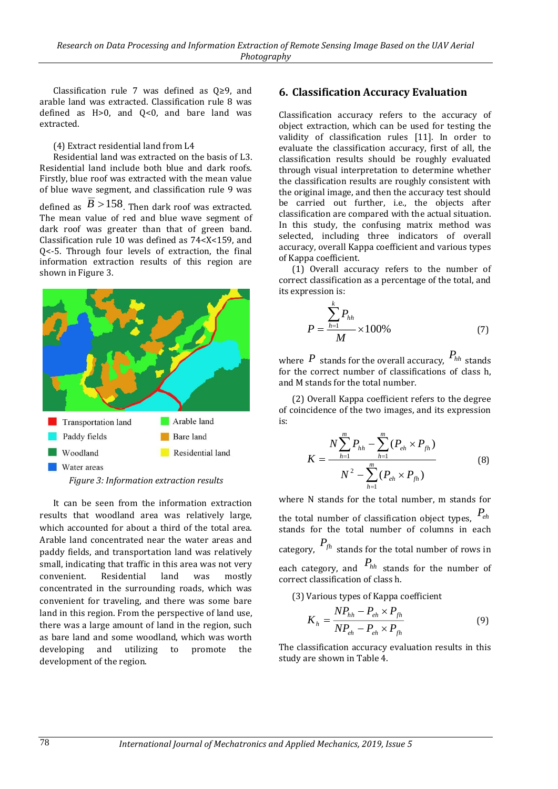Classification rule 7 was defined as Q≥9, and arable land was extracted. Classification rule 8 was defined as H>0, and Q<0, and bare land was extracted.

#### (4) Extract residential land from L4

Residential land was extracted on the basis of L3. Residential land include both blue and dark roofs. Firstly, blue roof was extracted with the mean value of blue wave segment, and classification rule 9 was defined as  $B > 158$ . Then dark roof was extracted. The mean value of red and blue wave segment of dark roof was greater than that of green band. Classification rule 10 was defined as 74<X<159, and Q<-5. Through four levels of extraction, the final information extraction results of this region are shown in Figure 3.



*Figure 3: Information extraction results*

It can be seen from the information extraction results that woodland area was relatively large, which accounted for about a third of the total area. Arable land concentrated near the water areas and paddy fields, and transportation land was relatively small, indicating that traffic in this area was not very convenient. Residential land was mostly concentrated in the surrounding roads, which was convenient for traveling, and there was some bare land in this region. From the perspective of land use, there was a large amount of land in the region, such as bare land and some woodland, which was worth developing and utilizing to promote the development of the region.

# **6. Classification Accuracy Evaluation**

Classification accuracy refers to the accuracy of object extraction, which can be used for testing the validity of classification rules [11]. In order to evaluate the classification accuracy, first of all, the classification results should be roughly evaluated through visual interpretation to determine whether the classification results are roughly consistent with the original image, and then the accuracy test should be carried out further, i.e., the objects after classification are compared with the actual situation. In this study, the confusing matrix method was selected, including three indicators of overall accuracy, overall Kappa coefficient and various types of Kappa coefficient.

(1) Overall accuracy refers to the number of correct classification as a percentage of the total, and its expression is:

$$
P = \frac{\sum_{h=1}^{k} P_{hh}}{M} \times 100\%
$$
 (7)

where  $P$  stands for the overall accuracy,  $P_{hh}$  stands for the correct number of classifications of class h, and M stands for the total number.

(2) Overall Kappa coefficient refers to the degree of coincidence of the two images, and its expression is:

$$
K = \frac{N\sum_{h=1}^{m} P_{hh} - \sum_{h=1}^{m} (P_{eh} \times P_{fh})}{N^2 - \sum_{h=1}^{m} (P_{eh} \times P_{fh})}
$$
(8)

where N stands for the total number, m stands for the total number of classification object types, *Peh* stands for the total number of columns in each category,  $P_{fh}$  stands for the total number of rows in each category, and  $P_{hh}$  stands for the number of correct classification of class h.

(3) Various types of Kappa coefficient

$$
K_{h} = \frac{NP_{hh} - P_{eh} \times P_{fh}}{NP_{eh} - P_{eh} \times P_{fh}}
$$
(9)

The classification accuracy evaluation results in this study are shown in Table 4.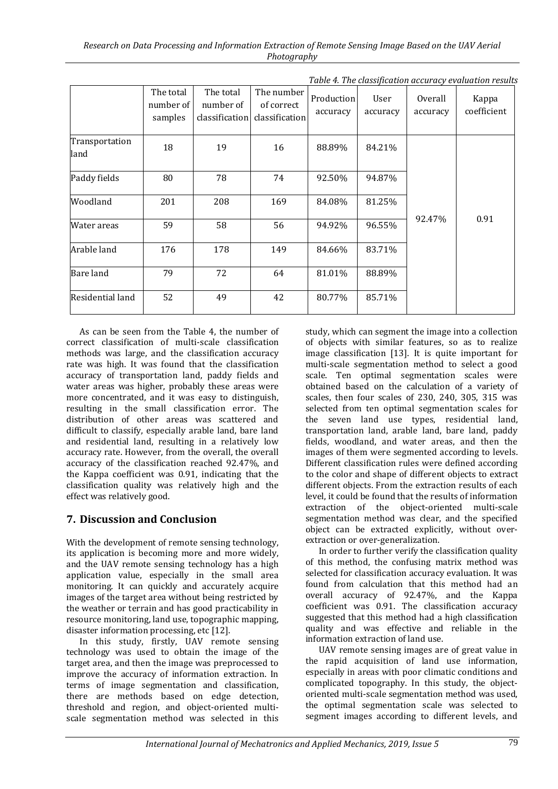|                        |                                   |                        |                                                           |                        |                  |                     | rabic 1. The chassification accuracy cruitation results |
|------------------------|-----------------------------------|------------------------|-----------------------------------------------------------|------------------------|------------------|---------------------|---------------------------------------------------------|
|                        | The total<br>number of<br>samples | The total<br>number of | The number<br>of correct<br>classification classification | Production<br>accuracy | User<br>accuracy | Overall<br>accuracy | Kappa<br>coefficient                                    |
| Transportation<br>land | 18                                | 19                     | 16                                                        | 88.89%                 | 84.21%           | 92.47%              | 0.91                                                    |
| Paddy fields           | 80                                | 78                     | 74                                                        | 92.50%                 | 94.87%           |                     |                                                         |
| Woodland               | 201                               | 208                    | 169                                                       | 84.08%                 | 81.25%           |                     |                                                         |
| Water areas            | 59                                | 58                     | 56                                                        | 94.92%                 | 96.55%           |                     |                                                         |
| Arable land            | 176                               | 178                    | 149                                                       | 84.66%                 | 83.71%           |                     |                                                         |
| Bare land              | 79                                | 72                     | 64                                                        | 81.01%                 | 88.89%           |                     |                                                         |
| Residential land       | 52                                | 49                     | 42                                                        | 80.77%                 | 85.71%           |                     |                                                         |

*Table 4. The classification accuracy evaluation results*

As can be seen from the Table 4, the number of correct classification of multi-scale classification methods was large, and the classification accuracy rate was high. It was found that the classification accuracy of transportation land, paddy fields and water areas was higher, probably these areas were more concentrated, and it was easy to distinguish, resulting in the small classification error. The distribution of other areas was scattered and difficult to classify, especially arable land, bare land and residential land, resulting in a relatively low accuracy rate. However, from the overall, the overall accuracy of the classification reached 92.47%, and the Kappa coefficient was 0.91, indicating that the classification quality was relatively high and the effect was relatively good.

# **7. Discussion and Conclusion**

With the development of remote sensing technology, its application is becoming more and more widely, and the UAV remote sensing technology has a high application value, especially in the small area monitoring. It can quickly and accurately acquire images of the target area without being restricted by the weather or terrain and has good practicability in resource monitoring, land use, topographic mapping, disaster information processing, etc [12].

In this study, firstly, UAV remote sensing technology was used to obtain the image of the target area, and then the image was preprocessed to improve the accuracy of information extraction. In terms of image segmentation and classification, there are methods based on edge detection, threshold and region, and object-oriented multiscale segmentation method was selected in this study, which can segment the image into a collection of objects with similar features, so as to realize image classification [13]. It is quite important for multi-scale segmentation method to select a good scale. Ten optimal segmentation scales were obtained based on the calculation of a variety of scales, then four scales of 230, 240, 305, 315 was selected from ten optimal segmentation scales for the seven land use types, residential land, transportation land, arable land, bare land, paddy fields, woodland, and water areas, and then the images of them were segmented according to levels. Different classification rules were defined according to the color and shape of different objects to extract different objects. From the extraction results of each level, it could be found that the results of information extraction of the object-oriented multi-scale segmentation method was clear, and the specified object can be extracted explicitly, without overextraction or over-generalization.

In order to further verify the classification quality of this method, the confusing matrix method was selected for classification accuracy evaluation. It was found from calculation that this method had an overall accuracy of 92.47%, and the Kappa coefficient was 0.91. The classification accuracy suggested that this method had a high classification quality and was effective and reliable in the information extraction of land use.

UAV remote sensing images are of great value in the rapid acquisition of land use information, especially in areas with poor climatic conditions and complicated topography. In this study, the objectoriented multi-scale segmentation method was used, the optimal segmentation scale was selected to segment images according to different levels, and